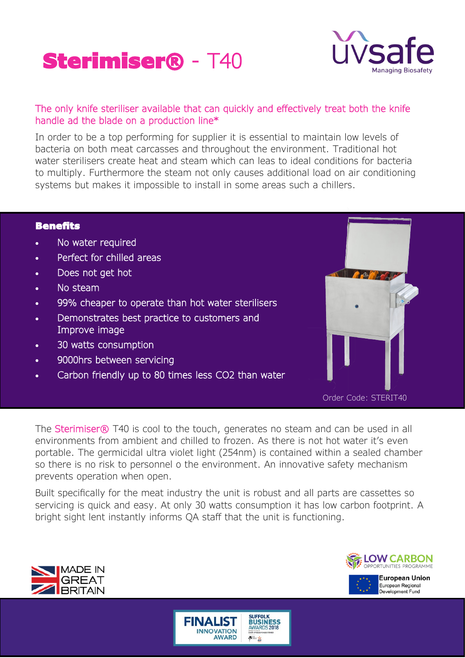# Sterimiser® - T40



### The only knife steriliser available that can quickly and effectively treat both the knife handle ad the blade on a production line\*

In order to be a top performing for supplier it is essential to maintain low levels of bacteria on both meat carcasses and throughout the environment. Traditional hot water sterilisers create heat and steam which can leas to ideal conditions for bacteria to multiply. Furthermore the steam not only causes additional load on air conditioning systems but makes it impossible to install in some areas such a chillers.

#### **Benefits**

- No water required
- Perfect for chilled areas
- Does not get hot
- No steam
- 99% cheaper to operate than hot water sterilisers
- Demonstrates best practice to customers and Improve image
- 30 watts consumption
- 9000hrs between servicing
- Carbon friendly up to 80 times less CO2 than water



Order Code: STERIT40

The **Sterimiser®** T40 is cool to the touch, generates no steam and can be used in all environments from ambient and chilled to frozen. As there is not hot water it's even portable. The germicidal ultra violet light (254nm) is contained within a sealed chamber so there is no risk to personnel o the environment. An innovative safety mechanism prevents operation when open.

Built specifically for the meat industry the unit is robust and all parts are cassettes so servicing is quick and easy. At only 30 watts consumption it has low carbon footprint. A bright sight lent instantly informs QA staff that the unit is functioning.